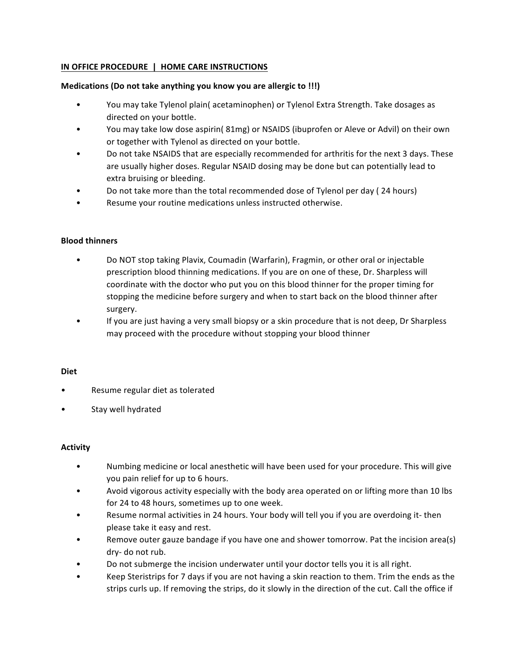# **IN OFFICE PROCEDURE | HOME CARE INSTRUCTIONS**

## **Medications (Do not take anything you know you are allergic to !!!)**

- You may take Tylenol plain( acetaminophen) or Tylenol Extra Strength. Take dosages as directed on your bottle.
- You may take low dose aspirin( 81mg) or NSAIDS (ibuprofen or Aleve or Advil) on their own or together with Tylenol as directed on your bottle.
- Do not take NSAIDS that are especially recommended for arthritis for the next 3 days. These are usually higher doses. Regular NSAID dosing may be done but can potentially lead to extra bruising or bleeding.
- Do not take more than the total recommended dose of Tylenol per day (24 hours)
- Resume your routine medications unless instructed otherwise.

#### **Blood thinners**

- Do NOT stop taking Plavix, Coumadin (Warfarin), Fragmin, or other oral or injectable prescription blood thinning medications. If you are on one of these, Dr. Sharpless will coordinate with the doctor who put you on this blood thinner for the proper timing for stopping the medicine before surgery and when to start back on the blood thinner after surgery.
- If you are just having a very small biopsy or a skin procedure that is not deep, Dr Sharpless may proceed with the procedure without stopping your blood thinner

#### **Diet**

- Resume regular diet as tolerated
- Stay well hydrated

## **Activity**

- Numbing medicine or local anesthetic will have been used for your procedure. This will give you pain relief for up to 6 hours.
- Avoid vigorous activity especially with the body area operated on or lifting more than 10 lbs for 24 to 48 hours, sometimes up to one week.
- Resume normal activities in 24 hours. Your body will tell you if you are overdoing it- then please take it easy and rest.
- Remove outer gauze bandage if you have one and shower tomorrow. Pat the incision area(s) dry- do not rub.
- Do not submerge the incision underwater until your doctor tells you it is all right.
- Keep Steristrips for 7 days if you are not having a skin reaction to them. Trim the ends as the strips curls up. If removing the strips, do it slowly in the direction of the cut. Call the office if